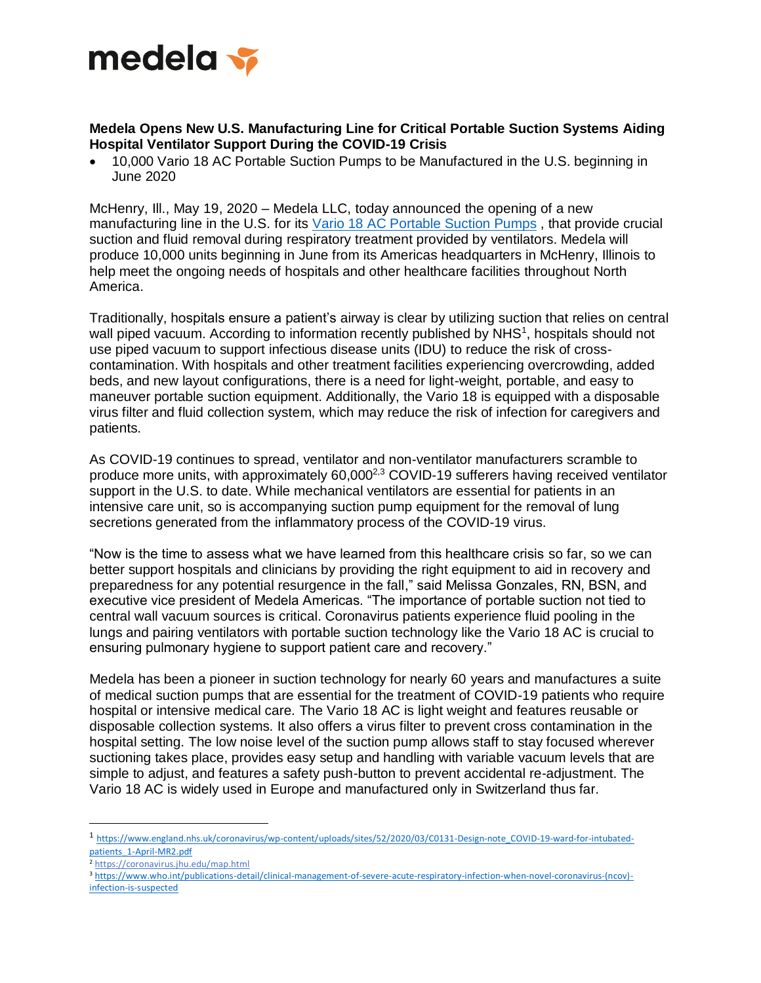

## **Medela Opens New U.S. Manufacturing Line for Critical Portable Suction Systems Aiding Hospital Ventilator Support During the COVID-19 Crisis**

• 10,000 Vario 18 AC Portable Suction Pumps to be Manufactured in the U.S. beginning in June 2020

McHenry, Ill., May 19, 2020 – Medela LLC, today announced the opening of a new manufacturing line in the U.S. for its [Vario 18 AC Portable Suction Pumps](https://www.medelahealthcare.us/solutions/professional-vacuum-solutions/surgical-airway-suction/vario-18-and-18-ci-portable-suction-pump) , that provide crucial suction and fluid removal during respiratory treatment provided by ventilators. Medela will produce 10,000 units beginning in June from its Americas headquarters in McHenry, Illinois to help meet the ongoing needs of hospitals and other healthcare facilities throughout North America.

Traditionally, hospitals ensure a patient's airway is clear by utilizing suction that relies on central wall piped vacuum. According to information recently published by NHS<sup>1</sup>, hospitals should not use piped vacuum to support infectious disease units (IDU) to reduce the risk of crosscontamination. With hospitals and other treatment facilities experiencing overcrowding, added beds, and new layout configurations, there is a need for light-weight, portable, and easy to maneuver portable suction equipment. Additionally, the Vario 18 is equipped with a disposable virus filter and fluid collection system, which may reduce the risk of infection for caregivers and patients.

As COVID-19 continues to spread, ventilator and non-ventilator manufacturers scramble to produce more units, with approximately 60,0002,3 COVID-19 sufferers having received ventilator support in the U.S. to date. While mechanical ventilators are essential for patients in an intensive care unit, so is accompanying suction pump equipment for the removal of lung secretions generated from the inflammatory process of the COVID-19 virus.

"Now is the time to assess what we have learned from this healthcare crisis so far, so we can better support hospitals and clinicians by providing the right equipment to aid in recovery and preparedness for any potential resurgence in the fall," said Melissa Gonzales, RN, BSN, and executive vice president of Medela Americas. "The importance of portable suction not tied to central wall vacuum sources is critical. Coronavirus patients experience fluid pooling in the lungs and pairing ventilators with portable suction technology like the Vario 18 AC is crucial to ensuring pulmonary hygiene to support patient care and recovery."

Medela has been a pioneer in suction technology for nearly 60 years and manufactures a suite of medical suction pumps that are essential for the treatment of COVID-19 patients who require hospital or intensive medical care. The Vario 18 AC is light weight and features reusable or disposable collection systems. It also offers a virus filter to prevent cross contamination in the hospital setting. The low noise level of the suction pump allows staff to stay focused wherever suctioning takes place, provides easy setup and handling with variable vacuum levels that are simple to adjust, and features a safety push-button to prevent accidental re-adjustment. The Vario 18 AC is widely used in Europe and manufactured only in Switzerland thus far.

 $\overline{a}$ 

<sup>1</sup> [https://www.england.nhs.uk/coronavirus/wp-content/uploads/sites/52/2020/03/C0131-Design-note\\_COVID-19-ward-for-intubated](https://www.england.nhs.uk/coronavirus/wp-content/uploads/sites/52/2020/03/C0131-Design-note_COVID-19-ward-for-intubated-patients_1-April-MR2.pdf)[patients\\_1-April-MR2.pdf](https://www.england.nhs.uk/coronavirus/wp-content/uploads/sites/52/2020/03/C0131-Design-note_COVID-19-ward-for-intubated-patients_1-April-MR2.pdf)

<sup>2</sup> <https://coronavirus.jhu.edu/map.html>

<sup>3</sup> [https://www.who.int/publications-detail/clinical-management-of-severe-acute-respiratory-infection-when-novel-coronavirus-\(ncov\)](https://www.who.int/publications-detail/clinical-management-of-severe-acute-respiratory-infection-when-novel-coronavirus-(ncov)-infection-is-suspected) [infection-is-suspected](https://www.who.int/publications-detail/clinical-management-of-severe-acute-respiratory-infection-when-novel-coronavirus-(ncov)-infection-is-suspected)